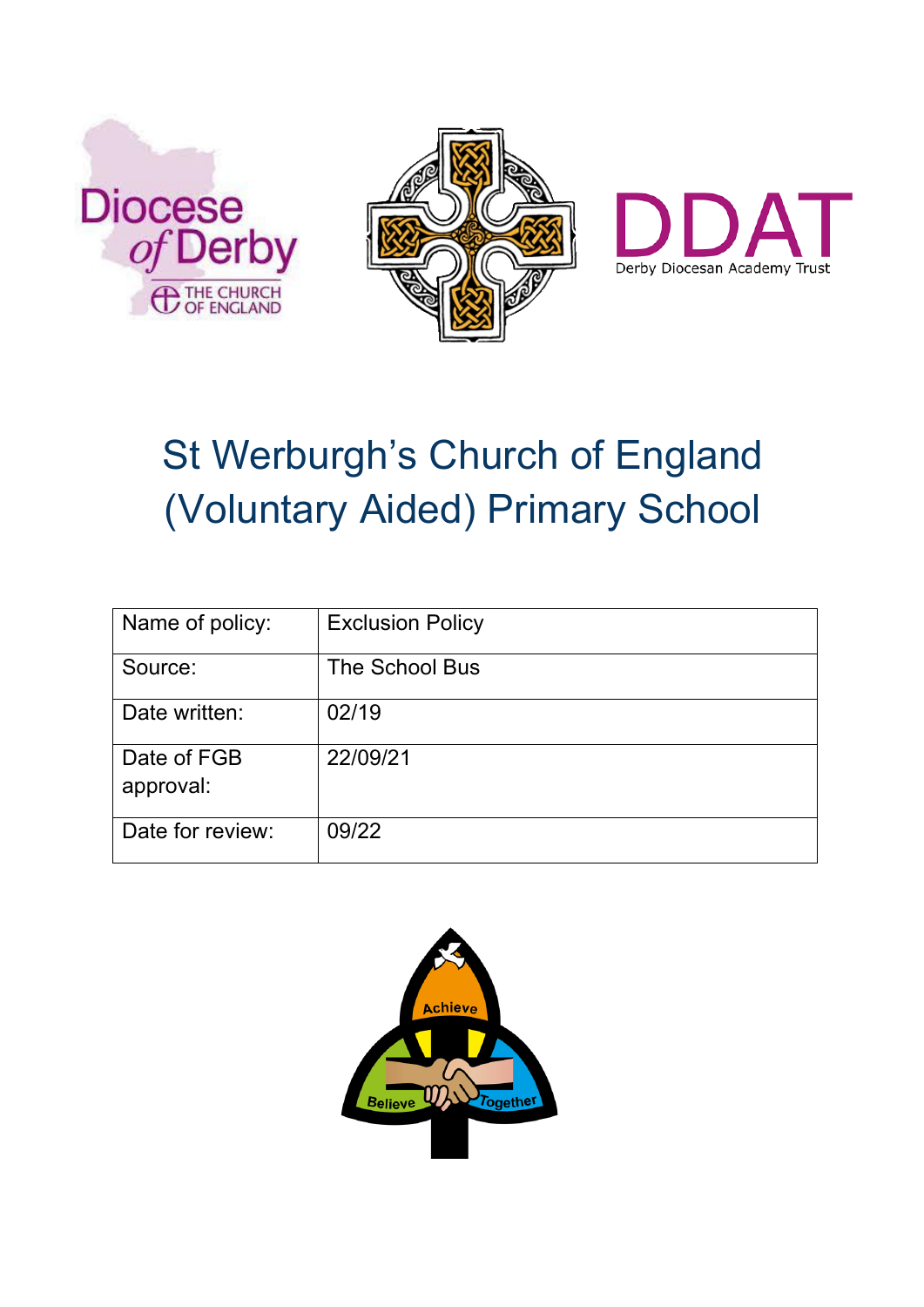





# St Werburgh's Church of England (Voluntary Aided) Primary School

| Name of policy:          | <b>Exclusion Policy</b> |
|--------------------------|-------------------------|
| Source:                  | The School Bus          |
| Date written:            | 02/19                   |
| Date of FGB<br>approval: | 22/09/21                |
| Date for review:         | 09/22                   |

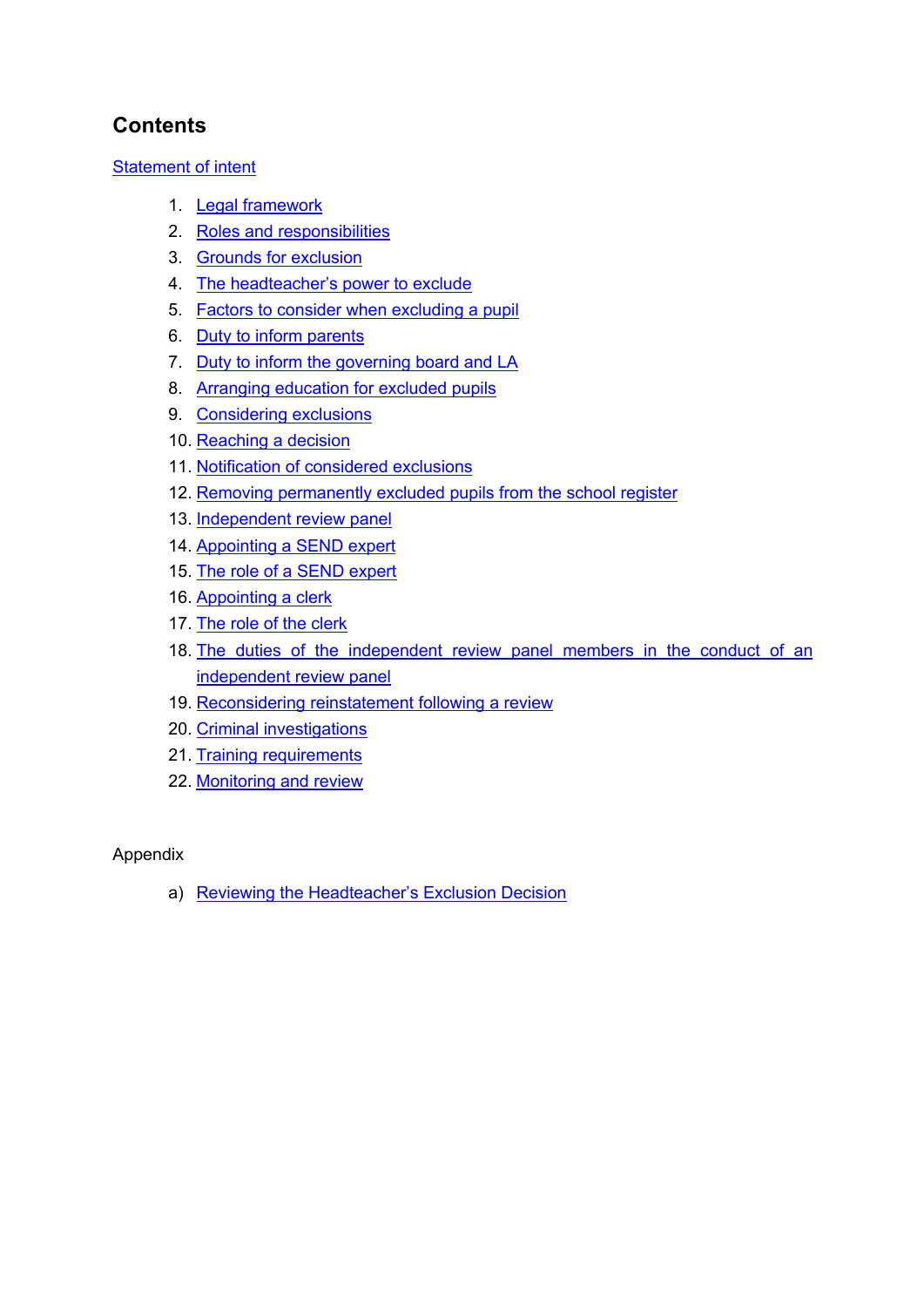# **Contents**

# Statement of intent

- 1. Legal framework
- 2. Roles and responsibilities
- 3. Grounds for exclusion
- 4. The headteacher's power to exclude
- 5. Factors to consider when excluding a pupil
- 6. Duty to inform parents
- 7. Duty to inform the governing board and LA
- 8. Arranging education for excluded pupils
- 9. Considering exclusions
- 10. Reaching a decision
- 11. Notification of considered exclusions
- 12. Removing permanently excluded pupils from the school register
- 13. Independent review panel
- 14. Appointing a SEND expert
- 15. The role of a SEND expert
- 16. Appointing a clerk
- 17. The role of the clerk
- 18. The duties of the independent review panel members in the conduct of an independent review panel
- 19. Reconsidering reinstatement following a review
- 20. Criminal investigations
- 21. Training requirements
- 22. Monitoring and review

# Appendix

a) Reviewing the Headteacher's Exclusion Decision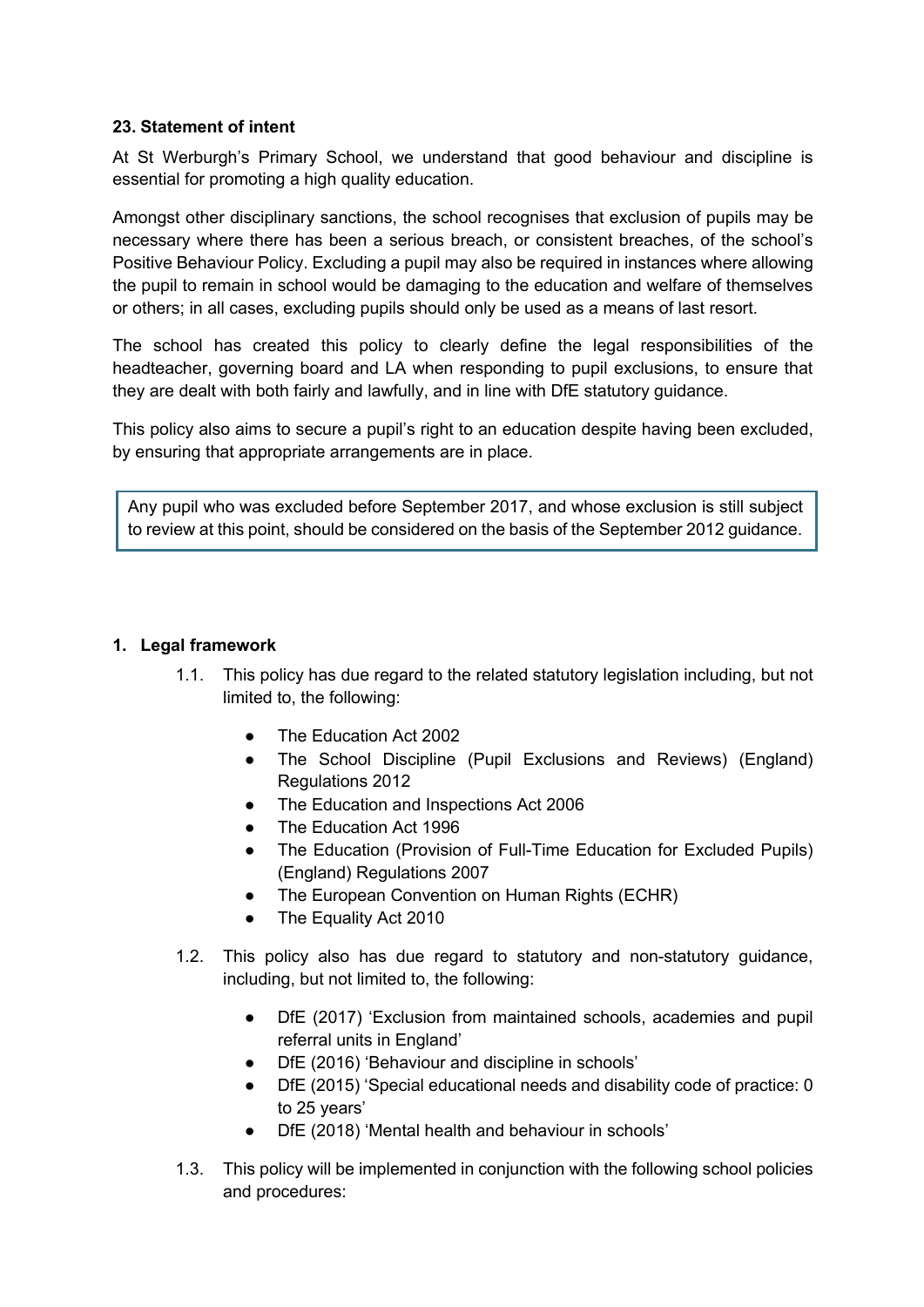#### **23. Statement of intent**

At St Werburgh's Primary School, we understand that good behaviour and discipline is essential for promoting a high quality education.

Amongst other disciplinary sanctions, the school recognises that exclusion of pupils may be necessary where there has been a serious breach, or consistent breaches, of the school's Positive Behaviour Policy. Excluding a pupil may also be required in instances where allowing the pupil to remain in school would be damaging to the education and welfare of themselves or others; in all cases, excluding pupils should only be used as a means of last resort.

The school has created this policy to clearly define the legal responsibilities of the headteacher, governing board and LA when responding to pupil exclusions, to ensure that they are dealt with both fairly and lawfully, and in line with DfE statutory guidance.

This policy also aims to secure a pupil's right to an education despite having been excluded, by ensuring that appropriate arrangements are in place.

Any pupil who was excluded before September 2017, and whose exclusion is still subject to review at this point, should be considered on the basis of the September 2012 guidance.

#### **1. Legal framework**

- 1.1. This policy has due regard to the related statutory legislation including, but not limited to, the following:
	- The Education Act 2002
	- The School Discipline (Pupil Exclusions and Reviews) (England) Regulations 2012
	- The Education and Inspections Act 2006
	- The Education Act 1996
	- The Education (Provision of Full-Time Education for Excluded Pupils) (England) Regulations 2007
	- The European Convention on Human Rights (ECHR)
	- The Equality Act 2010
- 1.2. This policy also has due regard to statutory and non-statutory guidance, including, but not limited to, the following:
	- DfE (2017) 'Exclusion from maintained schools, academies and pupil referral units in England'
	- DfE (2016) 'Behaviour and discipline in schools'
	- DfE (2015) 'Special educational needs and disability code of practice: 0 to 25 years'
	- DfE (2018) 'Mental health and behaviour in schools'
- 1.3. This policy will be implemented in conjunction with the following school policies and procedures: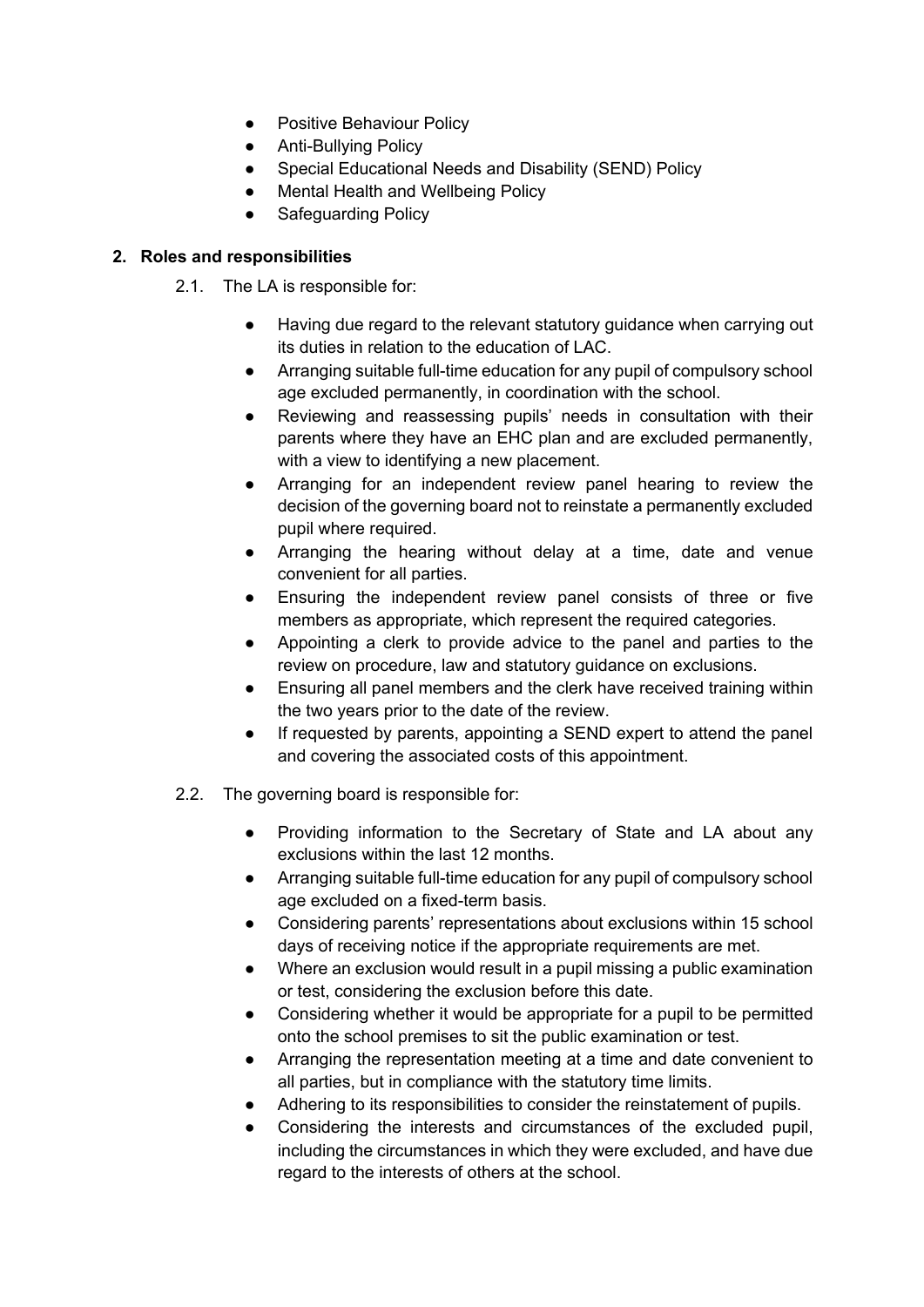- Positive Behaviour Policy
- Anti-Bullying Policy
- Special Educational Needs and Disability (SEND) Policy
- **Mental Health and Wellbeing Policy**
- Safeguarding Policy

# **2. Roles and responsibilities**

- 2.1. The LA is responsible for:
	- Having due regard to the relevant statutory guidance when carrying out its duties in relation to the education of LAC.
	- Arranging suitable full-time education for any pupil of compulsory school age excluded permanently, in coordination with the school.
	- Reviewing and reassessing pupils' needs in consultation with their parents where they have an EHC plan and are excluded permanently, with a view to identifying a new placement.
	- Arranging for an independent review panel hearing to review the decision of the governing board not to reinstate a permanently excluded pupil where required.
	- Arranging the hearing without delay at a time, date and venue convenient for all parties.
	- Ensuring the independent review panel consists of three or five members as appropriate, which represent the required categories.
	- Appointing a clerk to provide advice to the panel and parties to the review on procedure, law and statutory guidance on exclusions.
	- Ensuring all panel members and the clerk have received training within the two years prior to the date of the review.
	- If requested by parents, appointing a SEND expert to attend the panel and covering the associated costs of this appointment.
- 2.2. The governing board is responsible for:
	- Providing information to the Secretary of State and LA about any exclusions within the last 12 months.
	- Arranging suitable full-time education for any pupil of compulsory school age excluded on a fixed-term basis.
	- Considering parents' representations about exclusions within 15 school days of receiving notice if the appropriate requirements are met.
	- Where an exclusion would result in a pupil missing a public examination or test, considering the exclusion before this date.
	- Considering whether it would be appropriate for a pupil to be permitted onto the school premises to sit the public examination or test.
	- Arranging the representation meeting at a time and date convenient to all parties, but in compliance with the statutory time limits.
	- Adhering to its responsibilities to consider the reinstatement of pupils.
	- Considering the interests and circumstances of the excluded pupil, including the circumstances in which they were excluded, and have due regard to the interests of others at the school.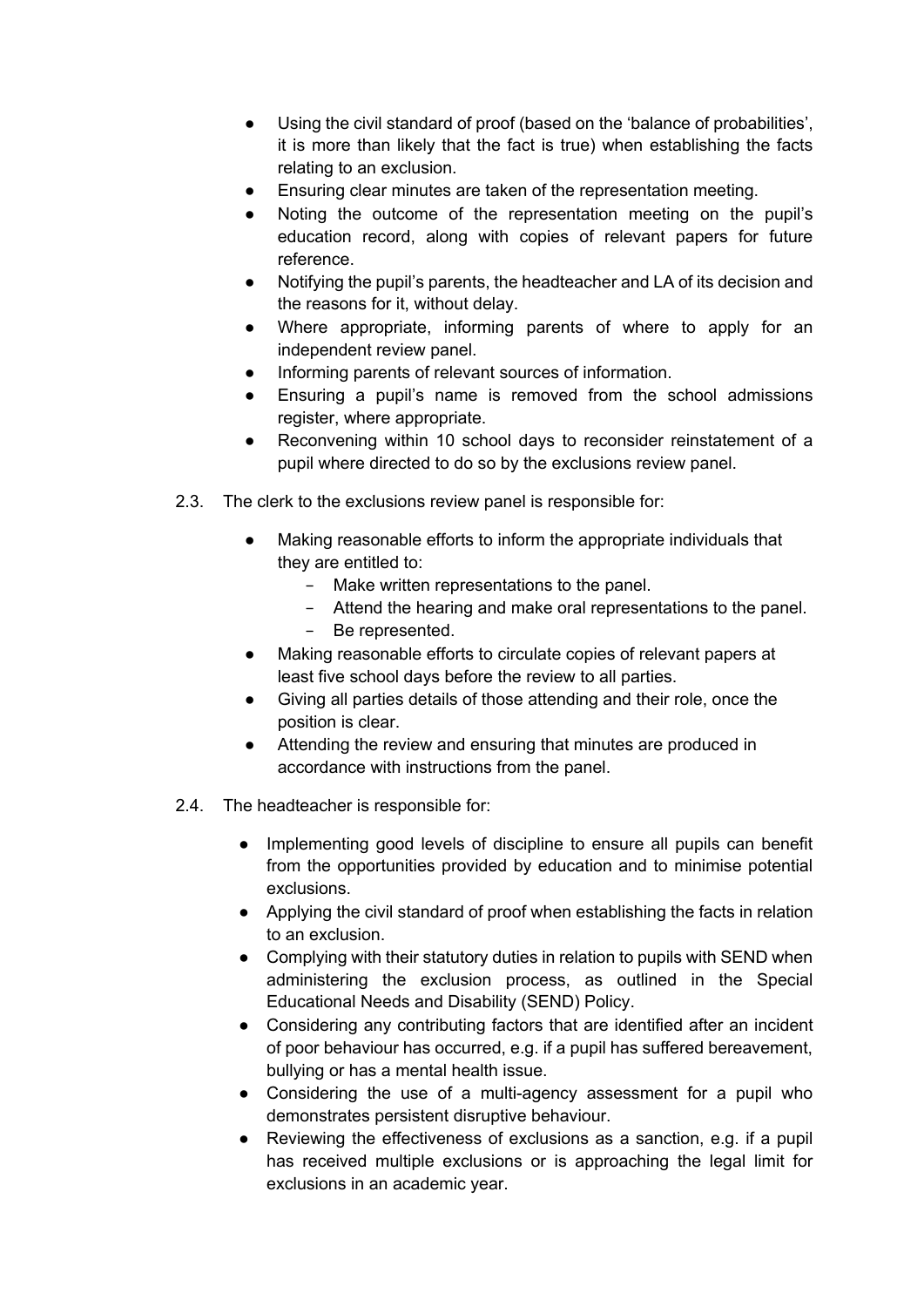- Using the civil standard of proof (based on the 'balance of probabilities', it is more than likely that the fact is true) when establishing the facts relating to an exclusion.
- Ensuring clear minutes are taken of the representation meeting.
- Noting the outcome of the representation meeting on the pupil's education record, along with copies of relevant papers for future reference.
- Notifying the pupil's parents, the headteacher and LA of its decision and the reasons for it, without delay.
- Where appropriate, informing parents of where to apply for an independent review panel.
- Informing parents of relevant sources of information.
- Ensuring a pupil's name is removed from the school admissions register, where appropriate.
- Reconvening within 10 school days to reconsider reinstatement of a pupil where directed to do so by the exclusions review panel.
- 2.3. The clerk to the exclusions review panel is responsible for:
	- Making reasonable efforts to inform the appropriate individuals that they are entitled to:
		- − Make written representations to the panel.
		- − Attend the hearing and make oral representations to the panel.
		- − Be represented.
	- Making reasonable efforts to circulate copies of relevant papers at least five school days before the review to all parties.
	- Giving all parties details of those attending and their role, once the position is clear.
	- Attending the review and ensuring that minutes are produced in accordance with instructions from the panel.
- 2.4. The headteacher is responsible for:
	- Implementing good levels of discipline to ensure all pupils can benefit from the opportunities provided by education and to minimise potential exclusions.
	- Applying the civil standard of proof when establishing the facts in relation to an exclusion.
	- Complying with their statutory duties in relation to pupils with SEND when administering the exclusion process, as outlined in the Special Educational Needs and Disability (SEND) Policy.
	- Considering any contributing factors that are identified after an incident of poor behaviour has occurred, e.g. if a pupil has suffered bereavement, bullying or has a mental health issue.
	- Considering the use of a multi-agency assessment for a pupil who demonstrates persistent disruptive behaviour.
	- Reviewing the effectiveness of exclusions as a sanction, e.g. if a pupil has received multiple exclusions or is approaching the legal limit for exclusions in an academic year.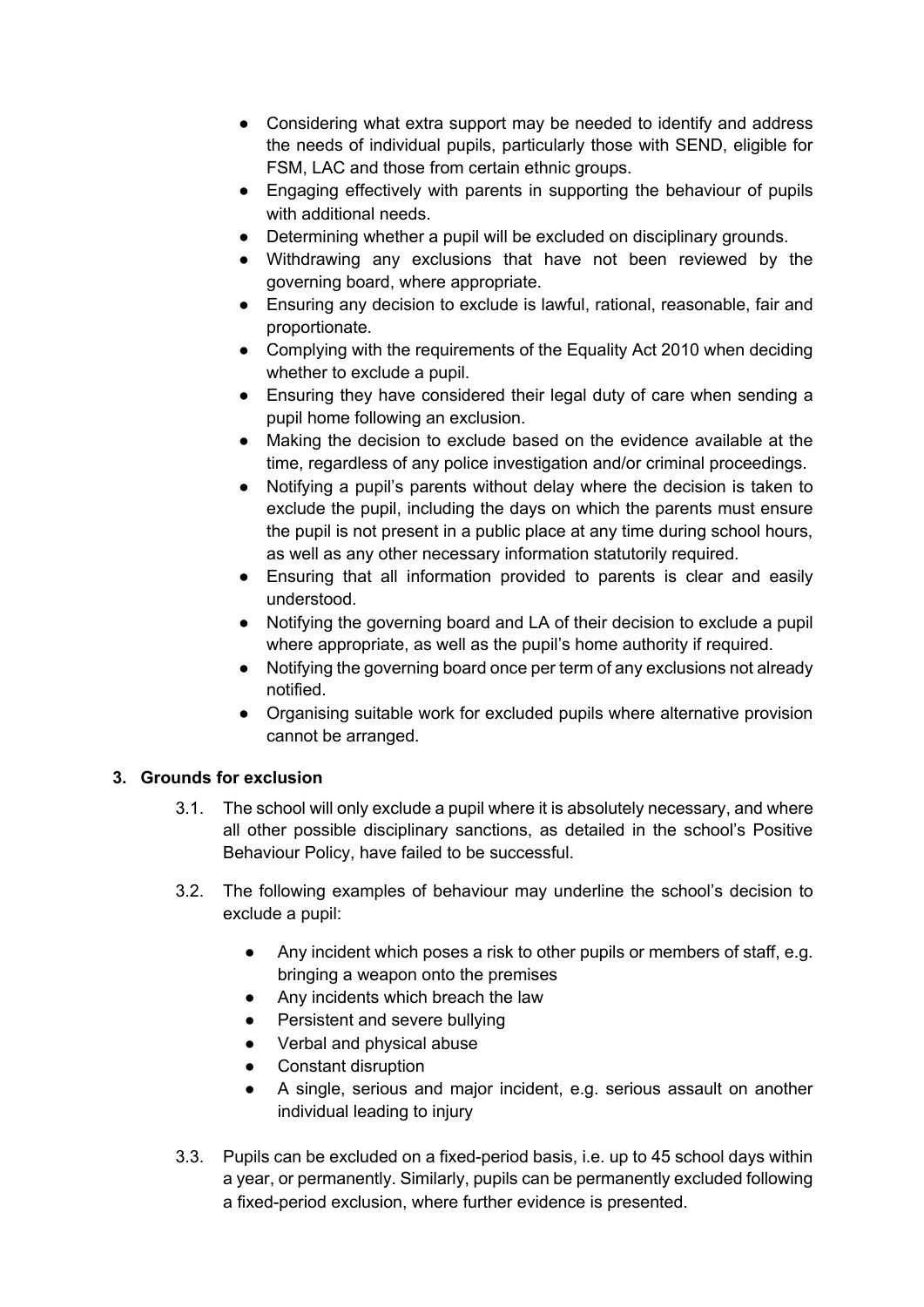- Considering what extra support may be needed to identify and address the needs of individual pupils, particularly those with SEND, eligible for FSM, LAC and those from certain ethnic groups.
- Engaging effectively with parents in supporting the behaviour of pupils with additional needs.
- Determining whether a pupil will be excluded on disciplinary grounds.
- Withdrawing any exclusions that have not been reviewed by the governing board, where appropriate.
- Ensuring any decision to exclude is lawful, rational, reasonable, fair and proportionate.
- Complying with the requirements of the Equality Act 2010 when deciding whether to exclude a pupil.
- Ensuring they have considered their legal duty of care when sending a pupil home following an exclusion.
- Making the decision to exclude based on the evidence available at the time, regardless of any police investigation and/or criminal proceedings.
- Notifying a pupil's parents without delay where the decision is taken to exclude the pupil, including the days on which the parents must ensure the pupil is not present in a public place at any time during school hours, as well as any other necessary information statutorily required.
- Ensuring that all information provided to parents is clear and easily understood.
- Notifying the governing board and LA of their decision to exclude a pupil where appropriate, as well as the pupil's home authority if required.
- Notifying the governing board once per term of any exclusions not already notified.
- Organising suitable work for excluded pupils where alternative provision cannot be arranged.

# **3. Grounds for exclusion**

- 3.1. The school will only exclude a pupil where it is absolutely necessary, and where all other possible disciplinary sanctions, as detailed in the school's Positive Behaviour Policy, have failed to be successful.
- 3.2. The following examples of behaviour may underline the school's decision to exclude a pupil:
	- Any incident which poses a risk to other pupils or members of staff, e.g. bringing a weapon onto the premises
	- Any incidents which breach the law
	- Persistent and severe bullying
	- Verbal and physical abuse
	- Constant disruption
	- A single, serious and major incident, e.g. serious assault on another individual leading to injury
- 3.3. Pupils can be excluded on a fixed-period basis, i.e. up to 45 school days within a year, or permanently. Similarly, pupils can be permanently excluded following a fixed-period exclusion, where further evidence is presented.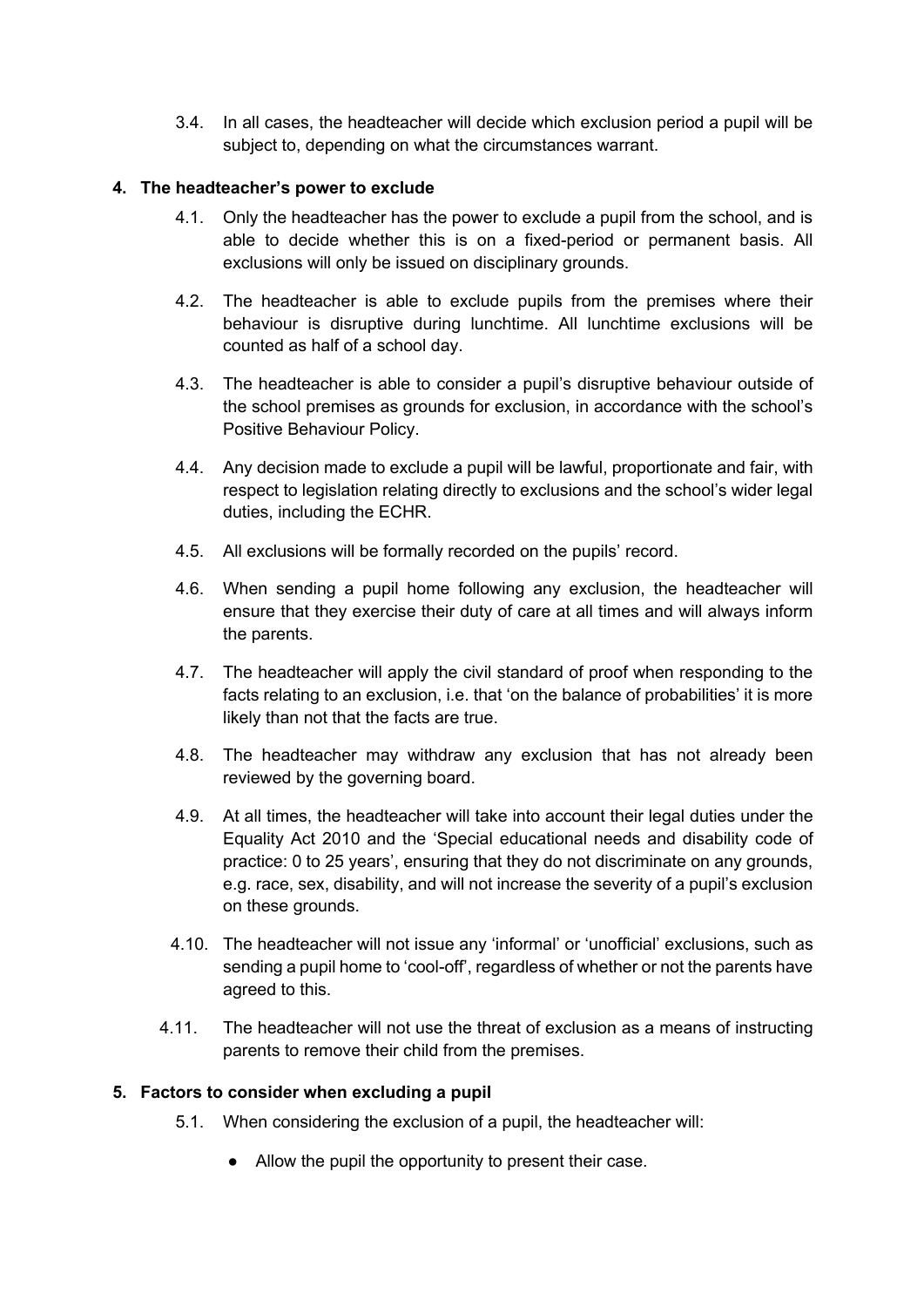3.4. In all cases, the headteacher will decide which exclusion period a pupil will be subject to, depending on what the circumstances warrant.

## **4. The headteacher's power to exclude**

- 4.1. Only the headteacher has the power to exclude a pupil from the school, and is able to decide whether this is on a fixed-period or permanent basis. All exclusions will only be issued on disciplinary grounds.
- 4.2. The headteacher is able to exclude pupils from the premises where their behaviour is disruptive during lunchtime. All lunchtime exclusions will be counted as half of a school day.
- 4.3. The headteacher is able to consider a pupil's disruptive behaviour outside of the school premises as grounds for exclusion, in accordance with the school's Positive Behaviour Policy.
- 4.4. Any decision made to exclude a pupil will be lawful, proportionate and fair, with respect to legislation relating directly to exclusions and the school's wider legal duties, including the ECHR.
- 4.5. All exclusions will be formally recorded on the pupils' record.
- 4.6. When sending a pupil home following any exclusion, the headteacher will ensure that they exercise their duty of care at all times and will always inform the parents.
- 4.7. The headteacher will apply the civil standard of proof when responding to the facts relating to an exclusion, i.e. that 'on the balance of probabilities' it is more likely than not that the facts are true.
- 4.8. The headteacher may withdraw any exclusion that has not already been reviewed by the governing board.
- 4.9. At all times, the headteacher will take into account their legal duties under the Equality Act 2010 and the 'Special educational needs and disability code of practice: 0 to 25 years', ensuring that they do not discriminate on any grounds, e.g. race, sex, disability, and will not increase the severity of a pupil's exclusion on these grounds.
- 4.10. The headteacher will not issue any 'informal' or 'unofficial' exclusions, such as sending a pupil home to 'cool-off', regardless of whether or not the parents have agreed to this.
- 4.11. The headteacher will not use the threat of exclusion as a means of instructing parents to remove their child from the premises.

# **5. Factors to consider when excluding a pupil**

- 5.1. When considering the exclusion of a pupil, the headteacher will:
	- Allow the pupil the opportunity to present their case.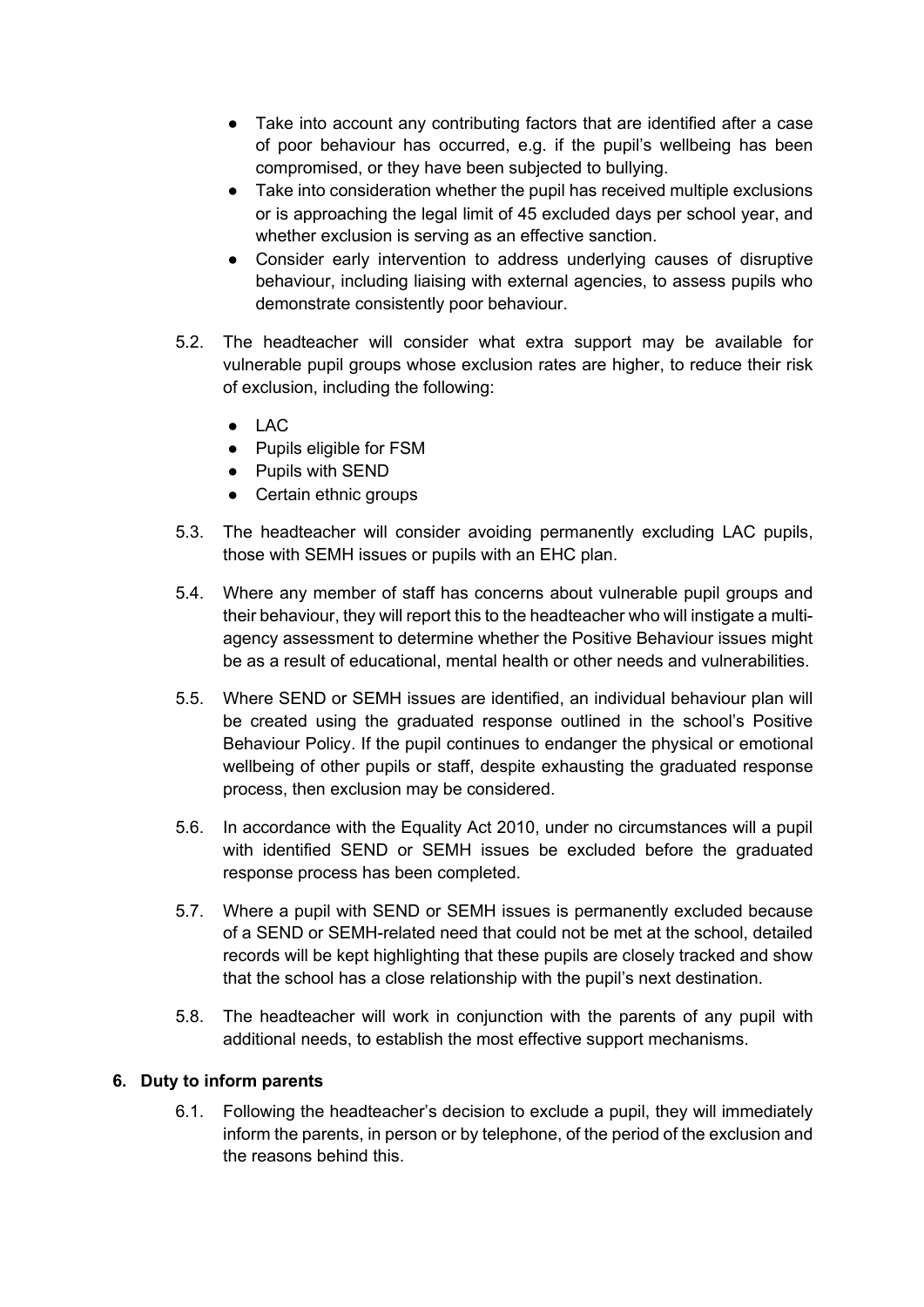- Take into account any contributing factors that are identified after a case of poor behaviour has occurred, e.g. if the pupil's wellbeing has been compromised, or they have been subjected to bullying.
- Take into consideration whether the pupil has received multiple exclusions or is approaching the legal limit of 45 excluded days per school year, and whether exclusion is serving as an effective sanction.
- Consider early intervention to address underlying causes of disruptive behaviour, including liaising with external agencies, to assess pupils who demonstrate consistently poor behaviour.
- 5.2. The headteacher will consider what extra support may be available for vulnerable pupil groups whose exclusion rates are higher, to reduce their risk of exclusion, including the following:
	- LAC
	- Pupils eligible for FSM
	- Pupils with SEND
	- Certain ethnic groups
- 5.3. The headteacher will consider avoiding permanently excluding LAC pupils, those with SEMH issues or pupils with an EHC plan.
- 5.4. Where any member of staff has concerns about vulnerable pupil groups and their behaviour, they will report this to the headteacher who will instigate a multiagency assessment to determine whether the Positive Behaviour issues might be as a result of educational, mental health or other needs and vulnerabilities.
- 5.5. Where SEND or SEMH issues are identified, an individual behaviour plan will be created using the graduated response outlined in the school's Positive Behaviour Policy. If the pupil continues to endanger the physical or emotional wellbeing of other pupils or staff, despite exhausting the graduated response process, then exclusion may be considered.
- 5.6. In accordance with the Equality Act 2010, under no circumstances will a pupil with identified SEND or SEMH issues be excluded before the graduated response process has been completed.
- 5.7. Where a pupil with SEND or SEMH issues is permanently excluded because of a SEND or SEMH-related need that could not be met at the school, detailed records will be kept highlighting that these pupils are closely tracked and show that the school has a close relationship with the pupil's next destination.
- 5.8. The headteacher will work in conjunction with the parents of any pupil with additional needs, to establish the most effective support mechanisms.

# **6. Duty to inform parents**

6.1. Following the headteacher's decision to exclude a pupil, they will immediately inform the parents, in person or by telephone, of the period of the exclusion and the reasons behind this.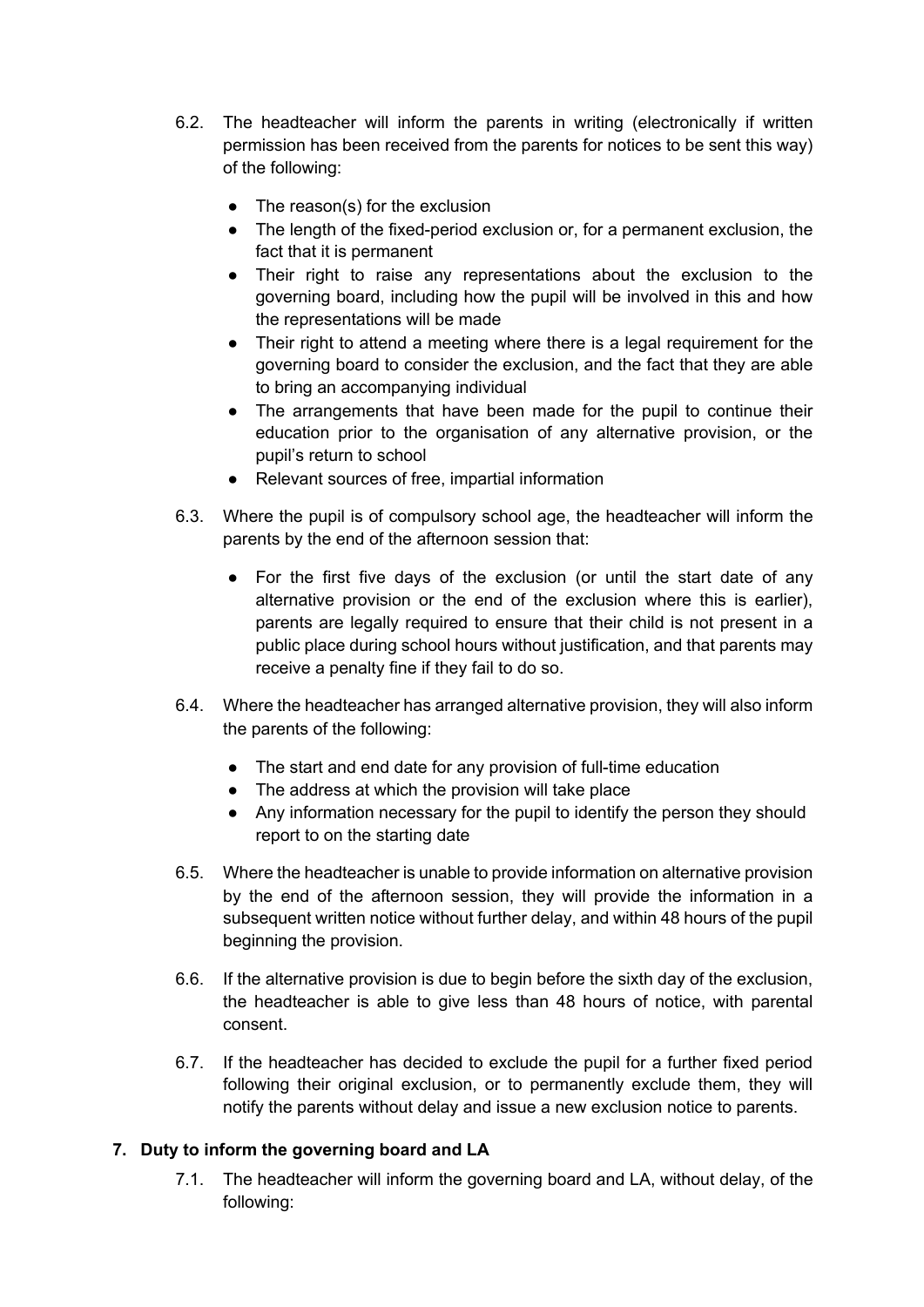- 6.2. The headteacher will inform the parents in writing (electronically if written permission has been received from the parents for notices to be sent this way) of the following:
	- The reason(s) for the exclusion
	- The length of the fixed-period exclusion or, for a permanent exclusion, the fact that it is permanent
	- Their right to raise any representations about the exclusion to the governing board, including how the pupil will be involved in this and how the representations will be made
	- Their right to attend a meeting where there is a legal requirement for the governing board to consider the exclusion, and the fact that they are able to bring an accompanying individual
	- The arrangements that have been made for the pupil to continue their education prior to the organisation of any alternative provision, or the pupil's return to school
	- Relevant sources of free, impartial information
- 6.3. Where the pupil is of compulsory school age, the headteacher will inform the parents by the end of the afternoon session that:
	- For the first five days of the exclusion (or until the start date of any alternative provision or the end of the exclusion where this is earlier), parents are legally required to ensure that their child is not present in a public place during school hours without justification, and that parents may receive a penalty fine if they fail to do so.
- 6.4. Where the headteacher has arranged alternative provision, they will also inform the parents of the following:
	- The start and end date for any provision of full-time education
	- The address at which the provision will take place
	- Any information necessary for the pupil to identify the person they should report to on the starting date
- 6.5. Where the headteacher is unable to provide information on alternative provision by the end of the afternoon session, they will provide the information in a subsequent written notice without further delay, and within 48 hours of the pupil beginning the provision.
- 6.6. If the alternative provision is due to begin before the sixth day of the exclusion, the headteacher is able to give less than 48 hours of notice, with parental consent.
- 6.7. If the headteacher has decided to exclude the pupil for a further fixed period following their original exclusion, or to permanently exclude them, they will notify the parents without delay and issue a new exclusion notice to parents.

# **7. Duty to inform the governing board and LA**

7.1. The headteacher will inform the governing board and LA, without delay, of the following: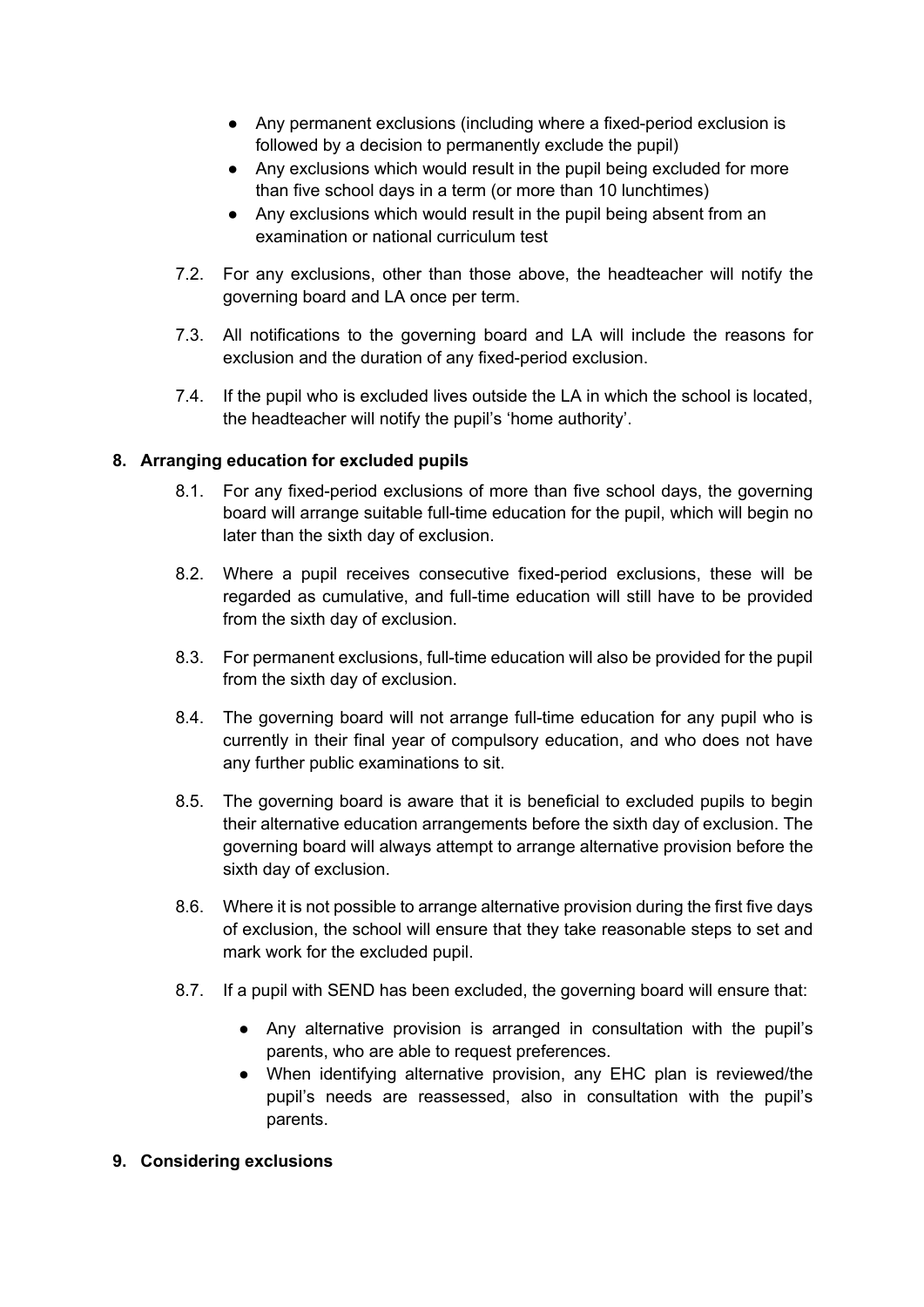- Any permanent exclusions (including where a fixed-period exclusion is followed by a decision to permanently exclude the pupil)
- Any exclusions which would result in the pupil being excluded for more than five school days in a term (or more than 10 lunchtimes)
- Any exclusions which would result in the pupil being absent from an examination or national curriculum test
- 7.2. For any exclusions, other than those above, the headteacher will notify the governing board and LA once per term.
- 7.3. All notifications to the governing board and LA will include the reasons for exclusion and the duration of any fixed-period exclusion.
- 7.4. If the pupil who is excluded lives outside the LA in which the school is located, the headteacher will notify the pupil's 'home authority'.

# **8. Arranging education for excluded pupils**

- 8.1. For any fixed-period exclusions of more than five school days, the governing board will arrange suitable full-time education for the pupil, which will begin no later than the sixth day of exclusion.
- 8.2. Where a pupil receives consecutive fixed-period exclusions, these will be regarded as cumulative, and full-time education will still have to be provided from the sixth day of exclusion.
- 8.3. For permanent exclusions, full-time education will also be provided for the pupil from the sixth day of exclusion.
- 8.4. The governing board will not arrange full-time education for any pupil who is currently in their final year of compulsory education, and who does not have any further public examinations to sit.
- 8.5. The governing board is aware that it is beneficial to excluded pupils to begin their alternative education arrangements before the sixth day of exclusion. The governing board will always attempt to arrange alternative provision before the sixth day of exclusion.
- 8.6. Where it is not possible to arrange alternative provision during the first five days of exclusion, the school will ensure that they take reasonable steps to set and mark work for the excluded pupil.
- 8.7. If a pupil with SEND has been excluded, the governing board will ensure that:
	- Any alternative provision is arranged in consultation with the pupil's parents, who are able to request preferences.
	- When identifying alternative provision, any EHC plan is reviewed/the pupil's needs are reassessed, also in consultation with the pupil's parents.
- **9. Considering exclusions**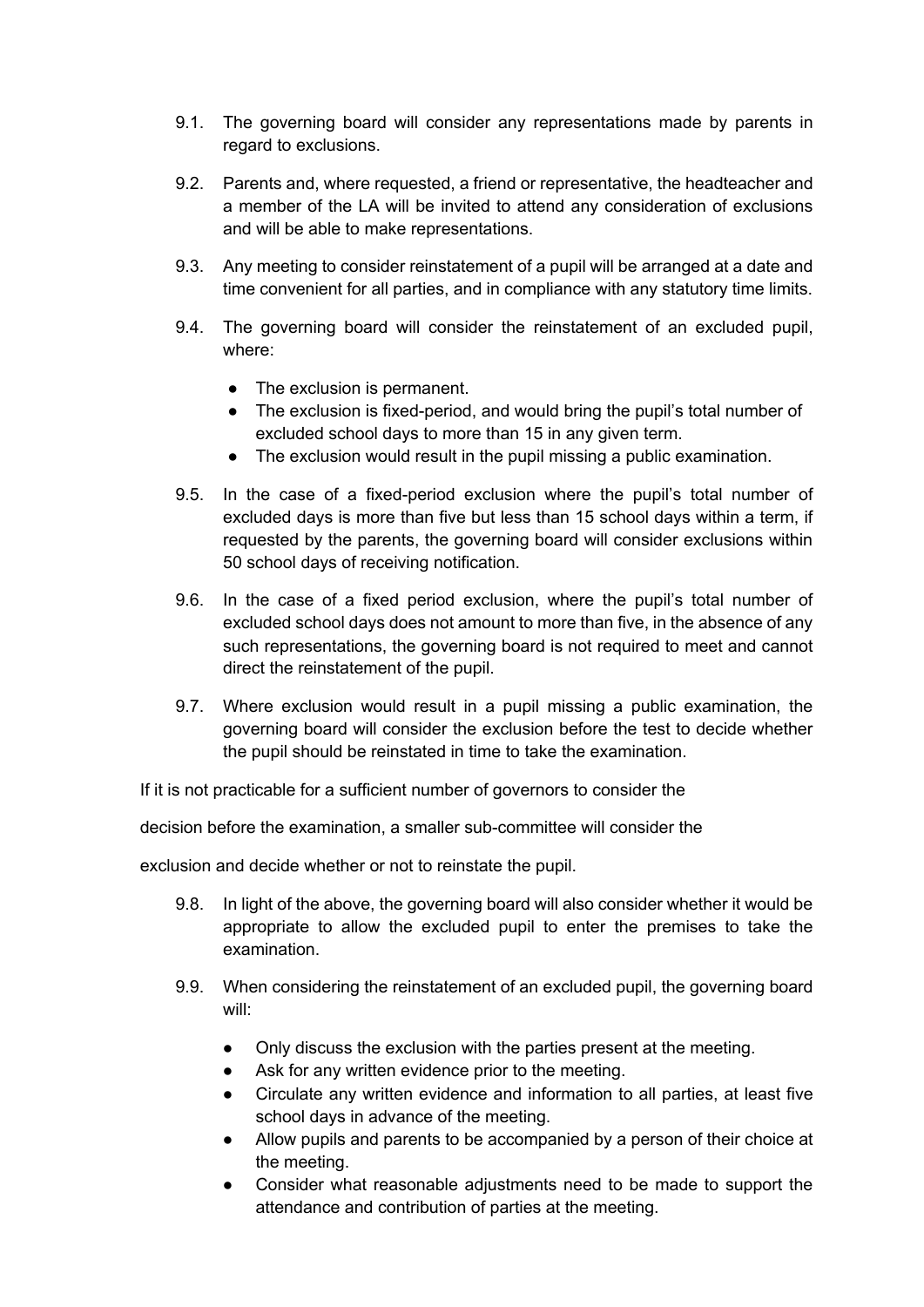- 9.1. The governing board will consider any representations made by parents in regard to exclusions.
- 9.2. Parents and, where requested, a friend or representative, the headteacher and a member of the LA will be invited to attend any consideration of exclusions and will be able to make representations.
- 9.3. Any meeting to consider reinstatement of a pupil will be arranged at a date and time convenient for all parties, and in compliance with any statutory time limits.
- 9.4. The governing board will consider the reinstatement of an excluded pupil, where:
	- The exclusion is permanent.
	- The exclusion is fixed-period, and would bring the pupil's total number of excluded school days to more than 15 in any given term.
	- The exclusion would result in the pupil missing a public examination.
- 9.5. In the case of a fixed-period exclusion where the pupil's total number of excluded days is more than five but less than 15 school days within a term, if requested by the parents, the governing board will consider exclusions within 50 school days of receiving notification.
- 9.6. In the case of a fixed period exclusion, where the pupil's total number of excluded school days does not amount to more than five, in the absence of any such representations, the governing board is not required to meet and cannot direct the reinstatement of the pupil.
- 9.7. Where exclusion would result in a pupil missing a public examination, the governing board will consider the exclusion before the test to decide whether the pupil should be reinstated in time to take the examination.

If it is not practicable for a sufficient number of governors to consider the

decision before the examination, a smaller sub-committee will consider the

exclusion and decide whether or not to reinstate the pupil.

- 9.8. In light of the above, the governing board will also consider whether it would be appropriate to allow the excluded pupil to enter the premises to take the examination.
- 9.9. When considering the reinstatement of an excluded pupil, the governing board will:
	- Only discuss the exclusion with the parties present at the meeting.
	- Ask for any written evidence prior to the meeting.
	- Circulate any written evidence and information to all parties, at least five school days in advance of the meeting.
	- Allow pupils and parents to be accompanied by a person of their choice at the meeting.
	- Consider what reasonable adjustments need to be made to support the attendance and contribution of parties at the meeting.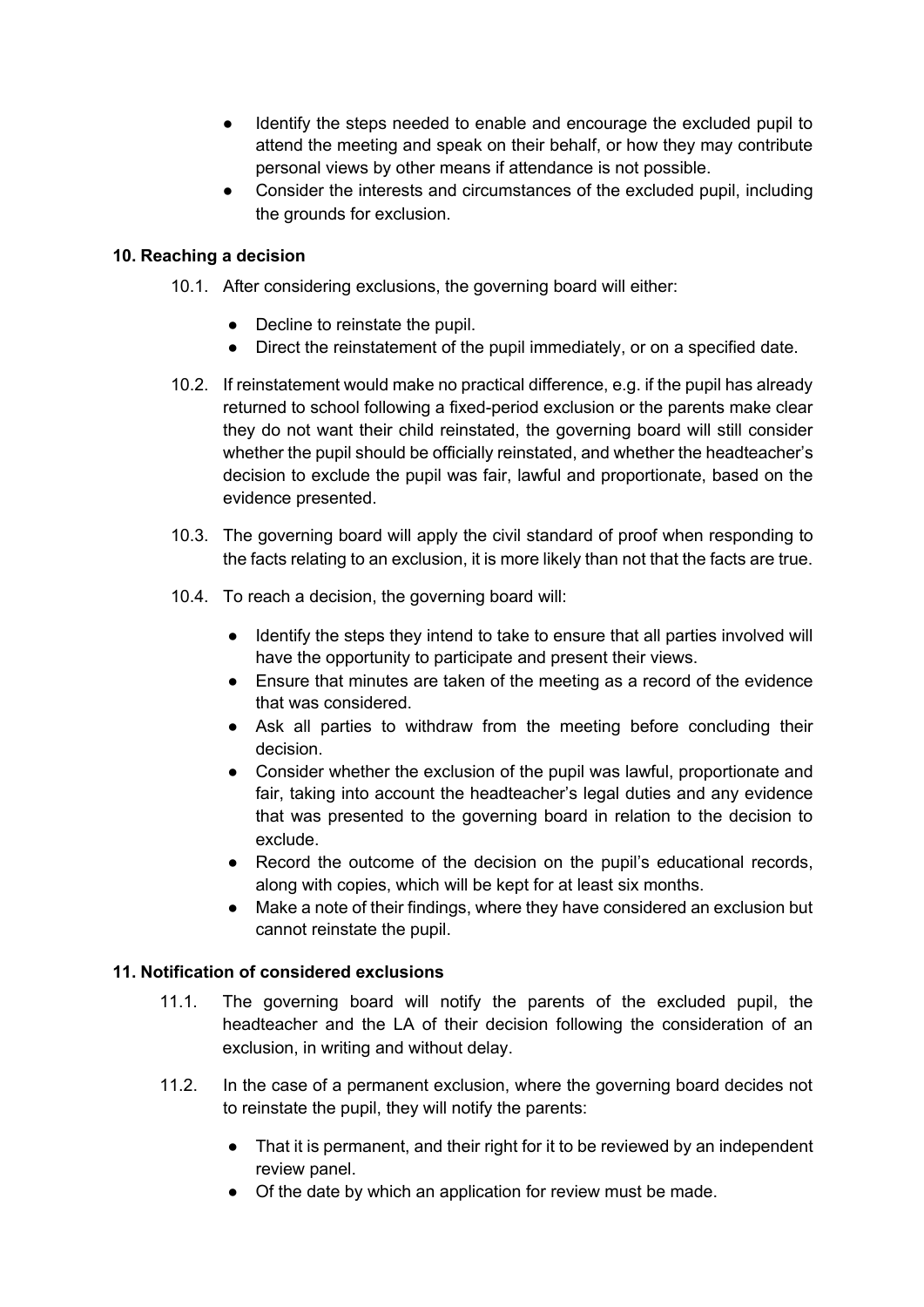- Identify the steps needed to enable and encourage the excluded pupil to attend the meeting and speak on their behalf, or how they may contribute personal views by other means if attendance is not possible.
- Consider the interests and circumstances of the excluded pupil, including the grounds for exclusion.

## **10. Reaching a decision**

- 10.1. After considering exclusions, the governing board will either:
	- Decline to reinstate the pupil.
	- Direct the reinstatement of the pupil immediately, or on a specified date.
- 10.2. If reinstatement would make no practical difference, e.g. if the pupil has already returned to school following a fixed-period exclusion or the parents make clear they do not want their child reinstated, the governing board will still consider whether the pupil should be officially reinstated, and whether the headteacher's decision to exclude the pupil was fair, lawful and proportionate, based on the evidence presented.
- 10.3. The governing board will apply the civil standard of proof when responding to the facts relating to an exclusion, it is more likely than not that the facts are true.
- 10.4. To reach a decision, the governing board will:
	- Identify the steps they intend to take to ensure that all parties involved will have the opportunity to participate and present their views.
	- Ensure that minutes are taken of the meeting as a record of the evidence that was considered.
	- Ask all parties to withdraw from the meeting before concluding their decision.
	- Consider whether the exclusion of the pupil was lawful, proportionate and fair, taking into account the headteacher's legal duties and any evidence that was presented to the governing board in relation to the decision to exclude.
	- Record the outcome of the decision on the pupil's educational records, along with copies, which will be kept for at least six months.
	- Make a note of their findings, where they have considered an exclusion but cannot reinstate the pupil.

#### **11. Notification of considered exclusions**

- 11.1. The governing board will notify the parents of the excluded pupil, the headteacher and the LA of their decision following the consideration of an exclusion, in writing and without delay.
- 11.2. In the case of a permanent exclusion, where the governing board decides not to reinstate the pupil, they will notify the parents:
	- That it is permanent, and their right for it to be reviewed by an independent review panel.
	- Of the date by which an application for review must be made.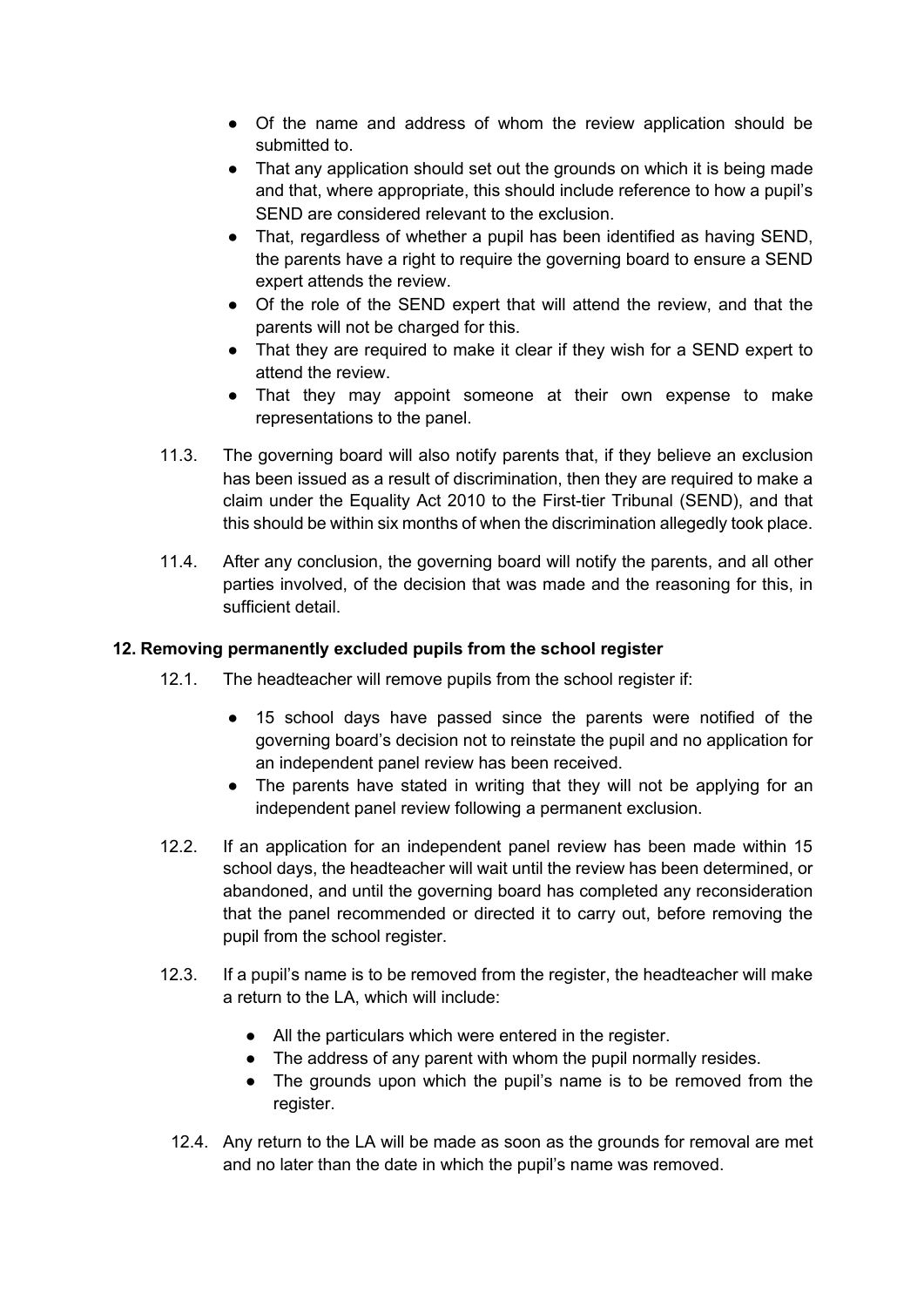- Of the name and address of whom the review application should be submitted to.
- That any application should set out the grounds on which it is being made and that, where appropriate, this should include reference to how a pupil's SEND are considered relevant to the exclusion.
- That, regardless of whether a pupil has been identified as having SEND, the parents have a right to require the governing board to ensure a SEND expert attends the review.
- Of the role of the SEND expert that will attend the review, and that the parents will not be charged for this.
- That they are required to make it clear if they wish for a SEND expert to attend the review.
- That they may appoint someone at their own expense to make representations to the panel.
- 11.3. The governing board will also notify parents that, if they believe an exclusion has been issued as a result of discrimination, then they are required to make a claim under the Equality Act 2010 to the First-tier Tribunal (SEND), and that this should be within six months of when the discrimination allegedly took place.
- 11.4. After any conclusion, the governing board will notify the parents, and all other parties involved, of the decision that was made and the reasoning for this, in sufficient detail.

# **12. Removing permanently excluded pupils from the school register**

- 12.1. The headteacher will remove pupils from the school register if:
	- 15 school days have passed since the parents were notified of the governing board's decision not to reinstate the pupil and no application for an independent panel review has been received.
	- The parents have stated in writing that they will not be applying for an independent panel review following a permanent exclusion.
- 12.2. If an application for an independent panel review has been made within 15 school days, the headteacher will wait until the review has been determined, or abandoned, and until the governing board has completed any reconsideration that the panel recommended or directed it to carry out, before removing the pupil from the school register.
- 12.3. If a pupil's name is to be removed from the register, the headteacher will make a return to the LA, which will include:
	- All the particulars which were entered in the register.
	- The address of any parent with whom the pupil normally resides.
	- The grounds upon which the pupil's name is to be removed from the register.
	- 12.4. Any return to the LA will be made as soon as the grounds for removal are met and no later than the date in which the pupil's name was removed.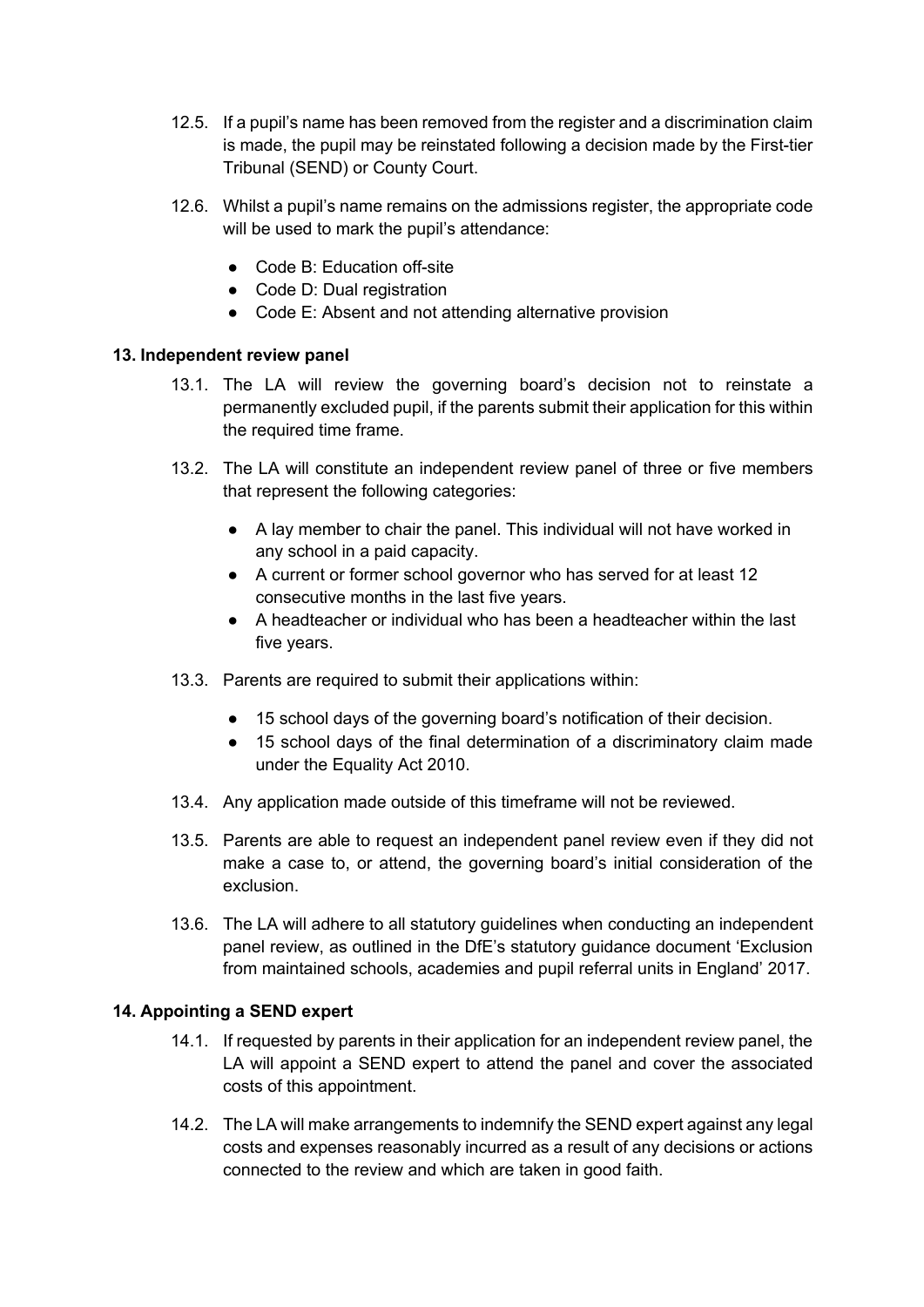- 12.5. If a pupil's name has been removed from the register and a discrimination claim is made, the pupil may be reinstated following a decision made by the First-tier Tribunal (SEND) or County Court.
- 12.6. Whilst a pupil's name remains on the admissions register, the appropriate code will be used to mark the pupil's attendance:
	- Code B: Education off-site
	- Code D: Dual registration
	- Code E: Absent and not attending alternative provision

#### **13. Independent review panel**

- 13.1. The LA will review the governing board's decision not to reinstate a permanently excluded pupil, if the parents submit their application for this within the required time frame.
- 13.2. The LA will constitute an independent review panel of three or five members that represent the following categories:
	- A lay member to chair the panel. This individual will not have worked in any school in a paid capacity.
	- A current or former school governor who has served for at least 12 consecutive months in the last five years.
	- A headteacher or individual who has been a headteacher within the last five years.
- 13.3. Parents are required to submit their applications within:
	- 15 school days of the governing board's notification of their decision.
	- 15 school days of the final determination of a discriminatory claim made under the Equality Act 2010.
- 13.4. Any application made outside of this timeframe will not be reviewed.
- 13.5. Parents are able to request an independent panel review even if they did not make a case to, or attend, the governing board's initial consideration of the exclusion.
- 13.6. The LA will adhere to all statutory guidelines when conducting an independent panel review, as outlined in the DfE's statutory guidance document 'Exclusion from maintained schools, academies and pupil referral units in England' 2017.

# **14. Appointing a SEND expert**

- 14.1. If requested by parents in their application for an independent review panel, the LA will appoint a SEND expert to attend the panel and cover the associated costs of this appointment.
- 14.2. The LA will make arrangements to indemnify the SEND expert against any legal costs and expenses reasonably incurred as a result of any decisions or actions connected to the review and which are taken in good faith.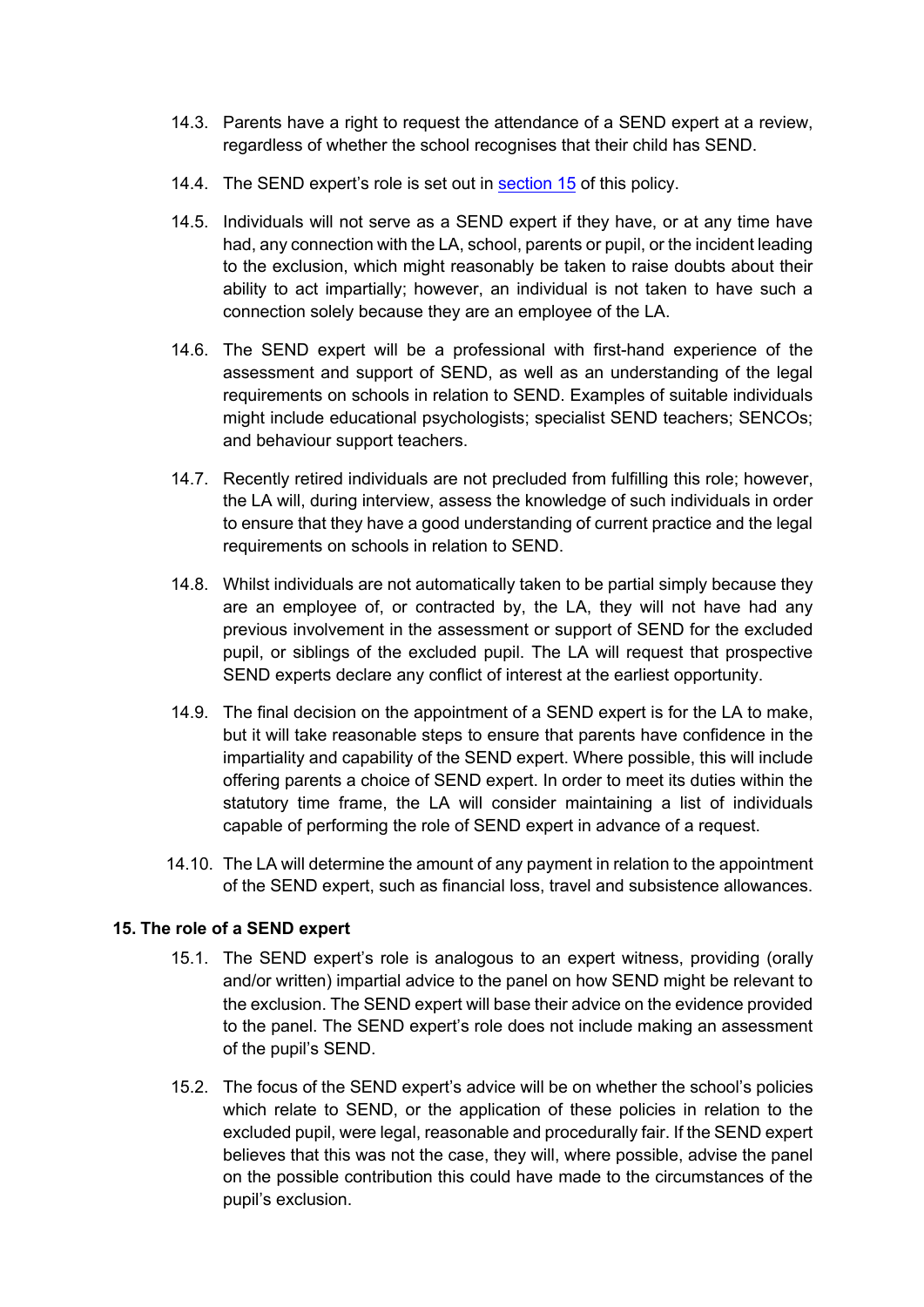- 14.3. Parents have a right to request the attendance of a SEND expert at a review, regardless of whether the school recognises that their child has SEND.
- 14.4. The SEND expert's role is set out in section 15 of this policy.
- 14.5. Individuals will not serve as a SEND expert if they have, or at any time have had, any connection with the LA, school, parents or pupil, or the incident leading to the exclusion, which might reasonably be taken to raise doubts about their ability to act impartially; however, an individual is not taken to have such a connection solely because they are an employee of the LA.
- 14.6. The SEND expert will be a professional with first-hand experience of the assessment and support of SEND, as well as an understanding of the legal requirements on schools in relation to SEND. Examples of suitable individuals might include educational psychologists; specialist SEND teachers; SENCOs; and behaviour support teachers.
- 14.7. Recently retired individuals are not precluded from fulfilling this role; however, the LA will, during interview, assess the knowledge of such individuals in order to ensure that they have a good understanding of current practice and the legal requirements on schools in relation to SEND.
- 14.8. Whilst individuals are not automatically taken to be partial simply because they are an employee of, or contracted by, the LA, they will not have had any previous involvement in the assessment or support of SEND for the excluded pupil, or siblings of the excluded pupil. The LA will request that prospective SEND experts declare any conflict of interest at the earliest opportunity.
- 14.9. The final decision on the appointment of a SEND expert is for the LA to make, but it will take reasonable steps to ensure that parents have confidence in the impartiality and capability of the SEND expert. Where possible, this will include offering parents a choice of SEND expert. In order to meet its duties within the statutory time frame, the LA will consider maintaining a list of individuals capable of performing the role of SEND expert in advance of a request.
- 14.10. The LA will determine the amount of any payment in relation to the appointment of the SEND expert, such as financial loss, travel and subsistence allowances.

# **15. The role of a SEND expert**

- 15.1. The SEND expert's role is analogous to an expert witness, providing (orally and/or written) impartial advice to the panel on how SEND might be relevant to the exclusion. The SEND expert will base their advice on the evidence provided to the panel. The SEND expert's role does not include making an assessment of the pupil's SEND.
- 15.2. The focus of the SEND expert's advice will be on whether the school's policies which relate to SEND, or the application of these policies in relation to the excluded pupil, were legal, reasonable and procedurally fair. If the SEND expert believes that this was not the case, they will, where possible, advise the panel on the possible contribution this could have made to the circumstances of the pupil's exclusion.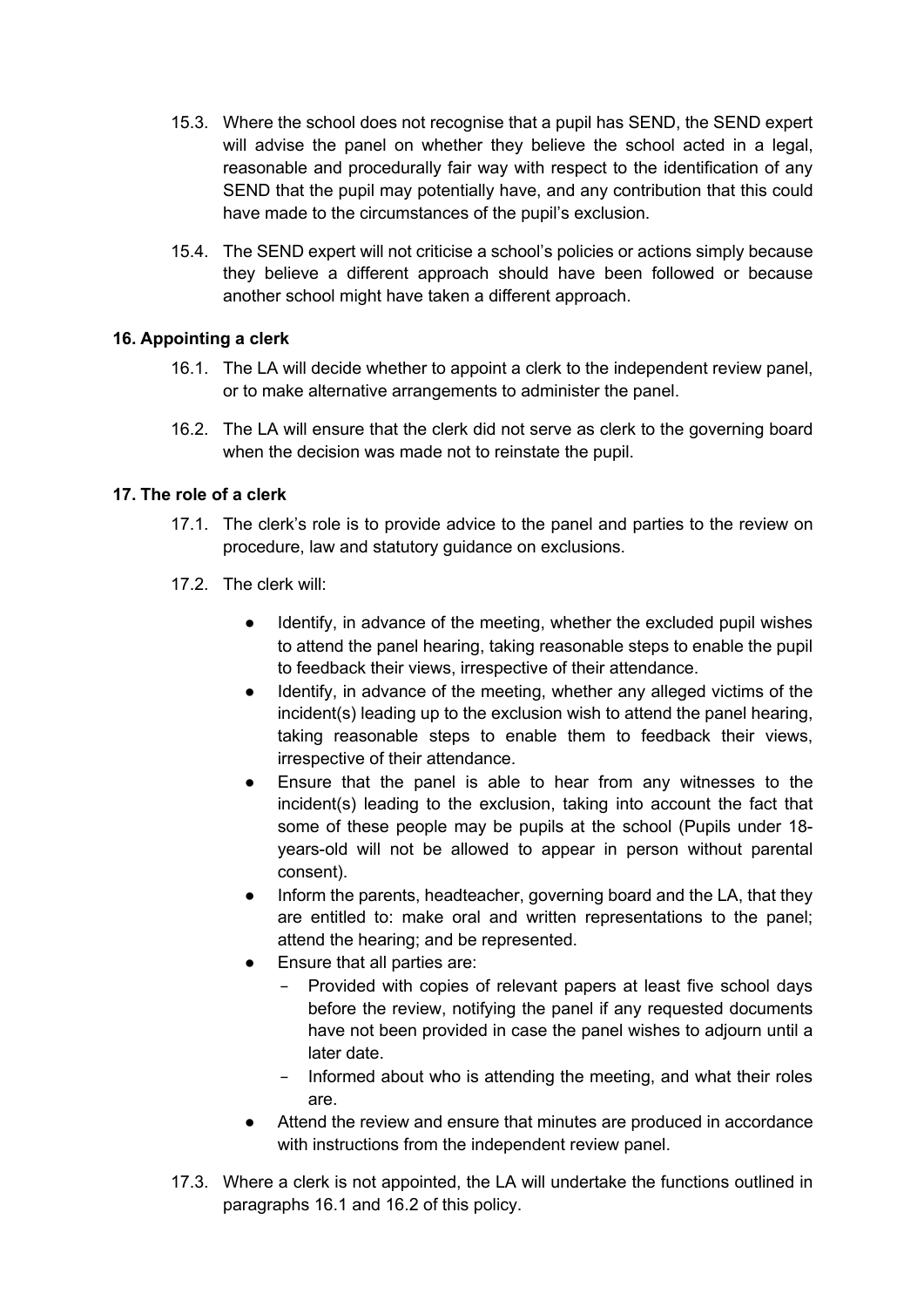- 15.3. Where the school does not recognise that a pupil has SEND, the SEND expert will advise the panel on whether they believe the school acted in a legal, reasonable and procedurally fair way with respect to the identification of any SEND that the pupil may potentially have, and any contribution that this could have made to the circumstances of the pupil's exclusion.
- 15.4. The SEND expert will not criticise a school's policies or actions simply because they believe a different approach should have been followed or because another school might have taken a different approach.

# **16. Appointing a clerk**

- 16.1. The LA will decide whether to appoint a clerk to the independent review panel, or to make alternative arrangements to administer the panel.
- 16.2. The LA will ensure that the clerk did not serve as clerk to the governing board when the decision was made not to reinstate the pupil.

#### **17. The role of a clerk**

- 17.1. The clerk's role is to provide advice to the panel and parties to the review on procedure, law and statutory guidance on exclusions.
- 17.2. The clerk will:
	- Identify, in advance of the meeting, whether the excluded pupil wishes to attend the panel hearing, taking reasonable steps to enable the pupil to feedback their views, irrespective of their attendance.
	- Identify, in advance of the meeting, whether any alleged victims of the incident(s) leading up to the exclusion wish to attend the panel hearing, taking reasonable steps to enable them to feedback their views, irrespective of their attendance.
	- Ensure that the panel is able to hear from any witnesses to the incident(s) leading to the exclusion, taking into account the fact that some of these people may be pupils at the school (Pupils under 18 years-old will not be allowed to appear in person without parental consent).
	- Inform the parents, headteacher, governing board and the LA, that they are entitled to: make oral and written representations to the panel; attend the hearing; and be represented.
	- Ensure that all parties are:
		- Provided with copies of relevant papers at least five school days before the review, notifying the panel if any requested documents have not been provided in case the panel wishes to adjourn until a later date.
		- − Informed about who is attending the meeting, and what their roles are.
	- Attend the review and ensure that minutes are produced in accordance with instructions from the independent review panel.
- 17.3. Where a clerk is not appointed, the LA will undertake the functions outlined in paragraphs 16.1 and 16.2 of this policy.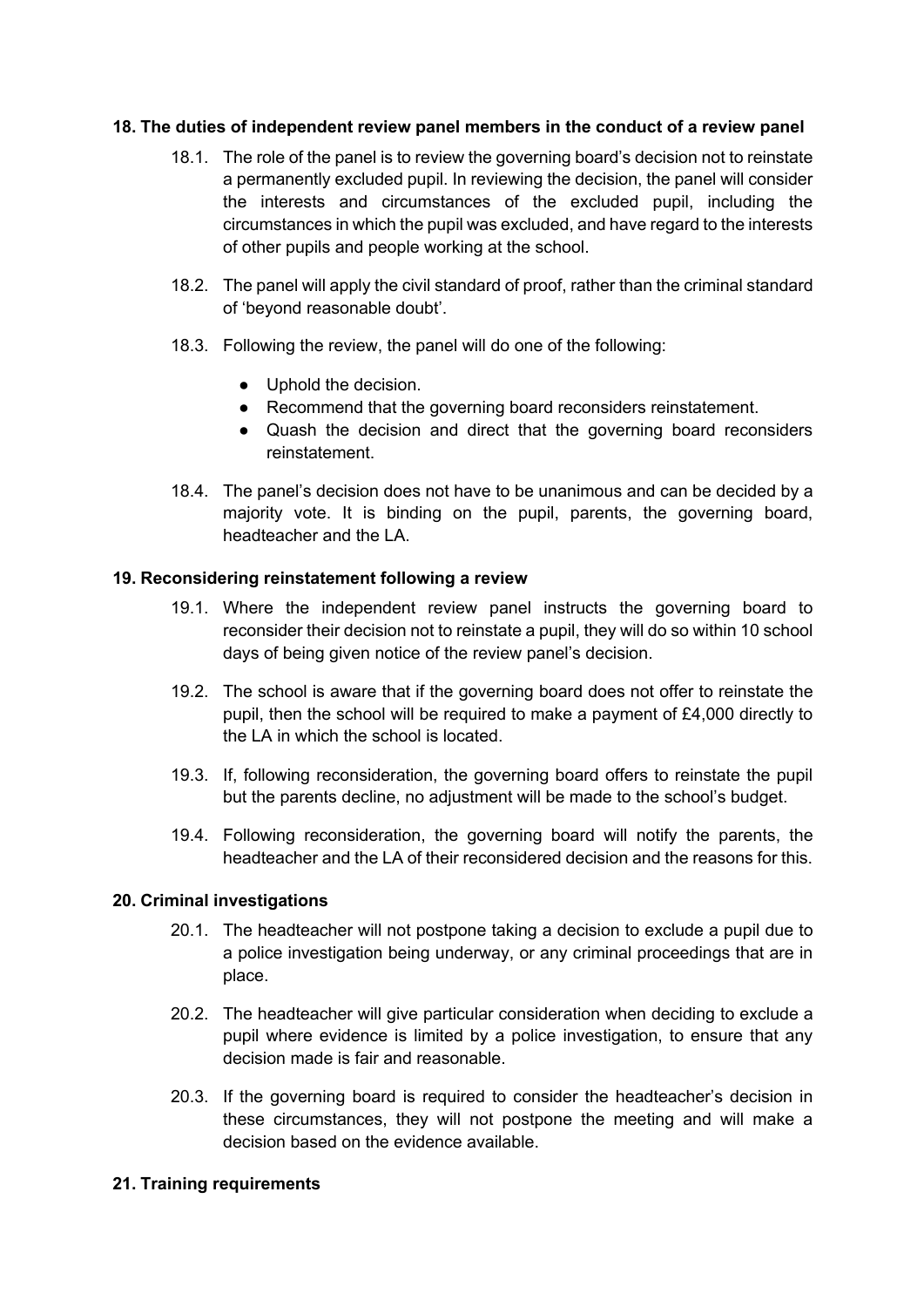#### **18. The duties of independent review panel members in the conduct of a review panel**

- 18.1. The role of the panel is to review the governing board's decision not to reinstate a permanently excluded pupil. In reviewing the decision, the panel will consider the interests and circumstances of the excluded pupil, including the circumstances in which the pupil was excluded, and have regard to the interests of other pupils and people working at the school.
- 18.2. The panel will apply the civil standard of proof, rather than the criminal standard of 'beyond reasonable doubt'.
- 18.3. Following the review, the panel will do one of the following:
	- Uphold the decision.
	- Recommend that the governing board reconsiders reinstatement.
	- Quash the decision and direct that the governing board reconsiders reinstatement.
- 18.4. The panel's decision does not have to be unanimous and can be decided by a majority vote. It is binding on the pupil, parents, the governing board, headteacher and the LA.

#### **19. Reconsidering reinstatement following a review**

- 19.1. Where the independent review panel instructs the governing board to reconsider their decision not to reinstate a pupil, they will do so within 10 school days of being given notice of the review panel's decision.
- 19.2. The school is aware that if the governing board does not offer to reinstate the pupil, then the school will be required to make a payment of £4,000 directly to the LA in which the school is located.
- 19.3. If, following reconsideration, the governing board offers to reinstate the pupil but the parents decline, no adjustment will be made to the school's budget.
- 19.4. Following reconsideration, the governing board will notify the parents, the headteacher and the LA of their reconsidered decision and the reasons for this.

#### **20. Criminal investigations**

- 20.1. The headteacher will not postpone taking a decision to exclude a pupil due to a police investigation being underway, or any criminal proceedings that are in place.
- 20.2. The headteacher will give particular consideration when deciding to exclude a pupil where evidence is limited by a police investigation, to ensure that any decision made is fair and reasonable.
- 20.3. If the governing board is required to consider the headteacher's decision in these circumstances, they will not postpone the meeting and will make a decision based on the evidence available.

#### **21. Training requirements**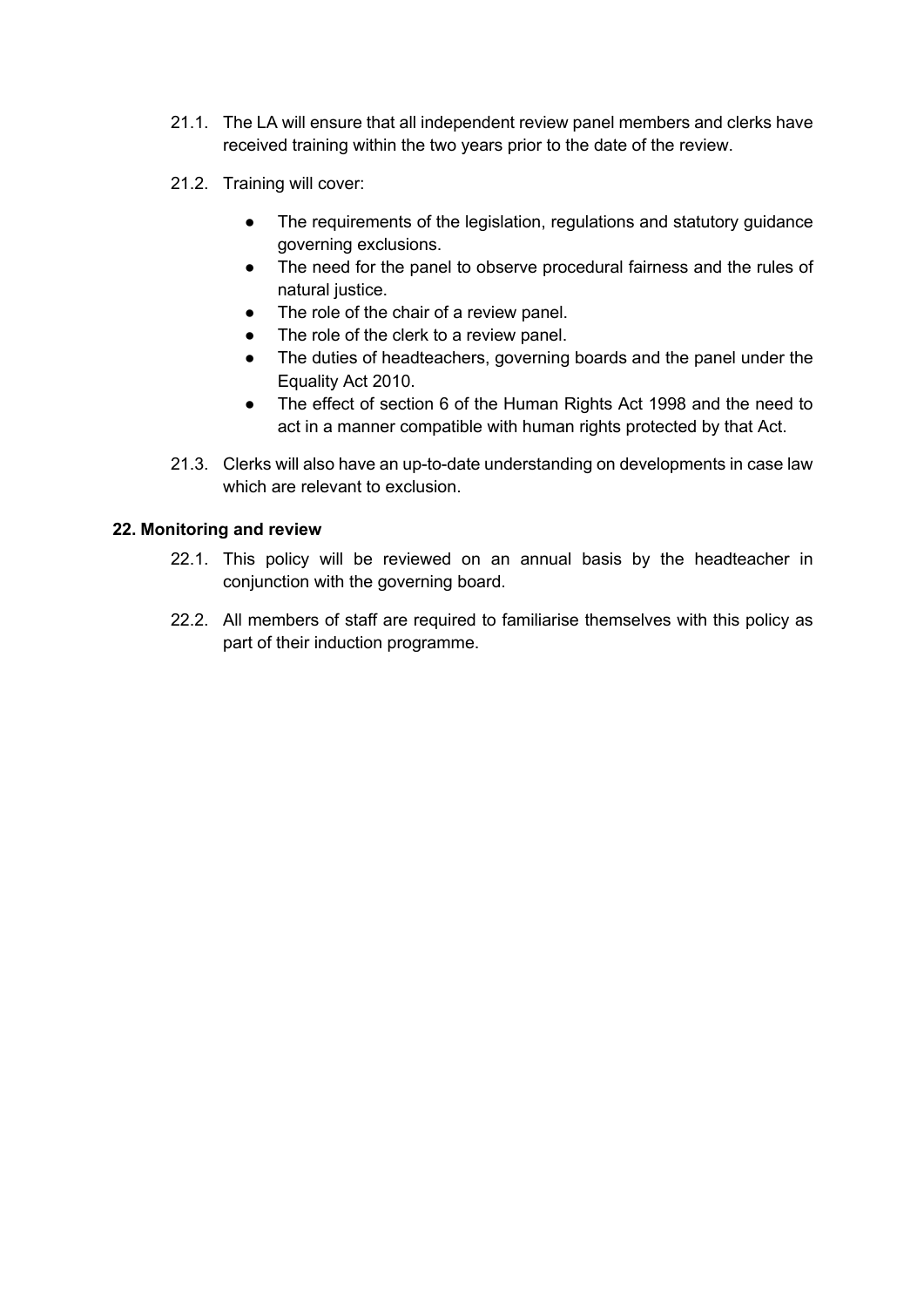- 21.1. The LA will ensure that all independent review panel members and clerks have received training within the two years prior to the date of the review.
- 21.2. Training will cover:
	- The requirements of the legislation, regulations and statutory guidance governing exclusions.
	- The need for the panel to observe procedural fairness and the rules of natural justice.
	- The role of the chair of a review panel.
	- The role of the clerk to a review panel.
	- The duties of headteachers, governing boards and the panel under the Equality Act 2010.
	- The effect of section 6 of the Human Rights Act 1998 and the need to act in a manner compatible with human rights protected by that Act.
- 21.3. Clerks will also have an up-to-date understanding on developments in case law which are relevant to exclusion.

# **22. Monitoring and review**

- 22.1. This policy will be reviewed on an annual basis by the headteacher in conjunction with the governing board.
- 22.2. All members of staff are required to familiarise themselves with this policy as part of their induction programme.